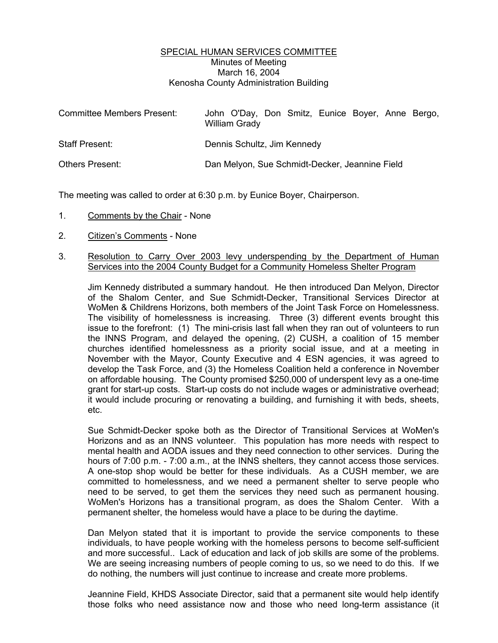## SPECIAL HUMAN SERVICES COMMITTEE Minutes of Meeting March 16, 2004 Kenosha County Administration Building

| Committee Members Present: | John O'Day, Don Smitz, Eunice Boyer, Anne Bergo,<br><b>William Grady</b> |
|----------------------------|--------------------------------------------------------------------------|
| Staff Present:             | Dennis Schultz, Jim Kennedy                                              |
| <b>Others Present:</b>     | Dan Melyon, Sue Schmidt-Decker, Jeannine Field                           |

The meeting was called to order at 6:30 p.m. by Eunice Boyer, Chairperson.

- 1. Comments by the Chair None
- 2. Citizen's Comments None
- 3. Resolution to Carry Over 2003 levy underspending by the Department of Human Services into the 2004 County Budget for a Community Homeless Shelter Program

Jim Kennedy distributed a summary handout. He then introduced Dan Melyon, Director of the Shalom Center, and Sue Schmidt-Decker, Transitional Services Director at WoMen & Childrens Horizons, both members of the Joint Task Force on Homelessness. The visibility of homelessness is increasing. Three (3) different events brought this issue to the forefront: (1) The mini-crisis last fall when they ran out of volunteers to run the INNS Program, and delayed the opening, (2) CUSH, a coalition of 15 member churches identified homelessness as a priority social issue, and at a meeting in November with the Mayor, County Executive and 4 ESN agencies, it was agreed to develop the Task Force, and (3) the Homeless Coalition held a conference in November on affordable housing. The County promised \$250,000 of underspent levy as a one-time grant for start-up costs. Start-up costs do not include wages or administrative overhead; it would include procuring or renovating a building, and furnishing it with beds, sheets, etc.

Sue Schmidt-Decker spoke both as the Director of Transitional Services at WoMen's Horizons and as an INNS volunteer. This population has more needs with respect to mental health and AODA issues and they need connection to other services. During the hours of 7:00 p.m. - 7:00 a.m., at the INNS shelters, they cannot access those services. A one-stop shop would be better for these individuals. As a CUSH member, we are committed to homelessness, and we need a permanent shelter to serve people who need to be served, to get them the services they need such as permanent housing. WoMen's Horizons has a transitional program, as does the Shalom Center. With a permanent shelter, the homeless would have a place to be during the daytime.

Dan Melyon stated that it is important to provide the service components to these individuals, to have people working with the homeless persons to become self-sufficient and more successful.. Lack of education and lack of job skills are some of the problems. We are seeing increasing numbers of people coming to us, so we need to do this. If we do nothing, the numbers will just continue to increase and create more problems.

Jeannine Field, KHDS Associate Director, said that a permanent site would help identify those folks who need assistance now and those who need long-term assistance (it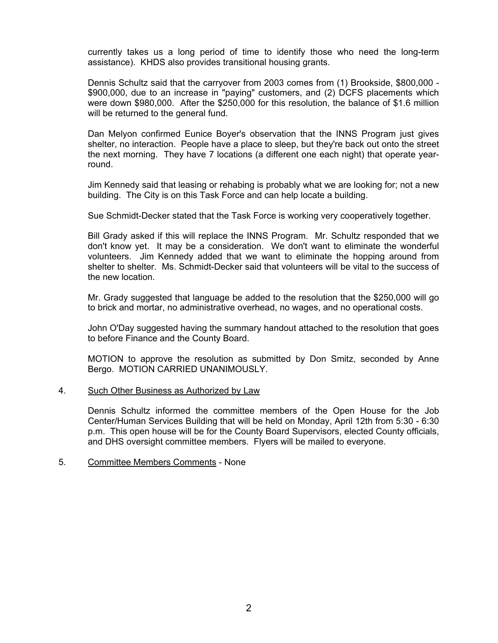currently takes us a long period of time to identify those who need the long-term assistance). KHDS also provides transitional housing grants.

Dennis Schultz said that the carryover from 2003 comes from (1) Brookside, \$800,000 - \$900,000, due to an increase in "paying" customers, and (2) DCFS placements which were down \$980,000. After the \$250,000 for this resolution, the balance of \$1.6 million will be returned to the general fund.

Dan Melyon confirmed Eunice Boyer's observation that the INNS Program just gives shelter, no interaction. People have a place to sleep, but they're back out onto the street the next morning. They have 7 locations (a different one each night) that operate yearround.

Jim Kennedy said that leasing or rehabing is probably what we are looking for; not a new building. The City is on this Task Force and can help locate a building.

Sue Schmidt-Decker stated that the Task Force is working very cooperatively together.

Bill Grady asked if this will replace the INNS Program. Mr. Schultz responded that we don't know yet. It may be a consideration. We don't want to eliminate the wonderful volunteers. Jim Kennedy added that we want to eliminate the hopping around from shelter to shelter. Ms. Schmidt-Decker said that volunteers will be vital to the success of the new location.

Mr. Grady suggested that language be added to the resolution that the \$250,000 will go to brick and mortar, no administrative overhead, no wages, and no operational costs.

John O'Day suggested having the summary handout attached to the resolution that goes to before Finance and the County Board.

MOTION to approve the resolution as submitted by Don Smitz, seconded by Anne Bergo. MOTION CARRIED UNANIMOUSLY.

## 4. Such Other Business as Authorized by Law

Dennis Schultz informed the committee members of the Open House for the Job Center/Human Services Building that will be held on Monday, April 12th from 5:30 - 6:30 p.m. This open house will be for the County Board Supervisors, elected County officials, and DHS oversight committee members. Flyers will be mailed to everyone.

## 5. Committee Members Comments - None